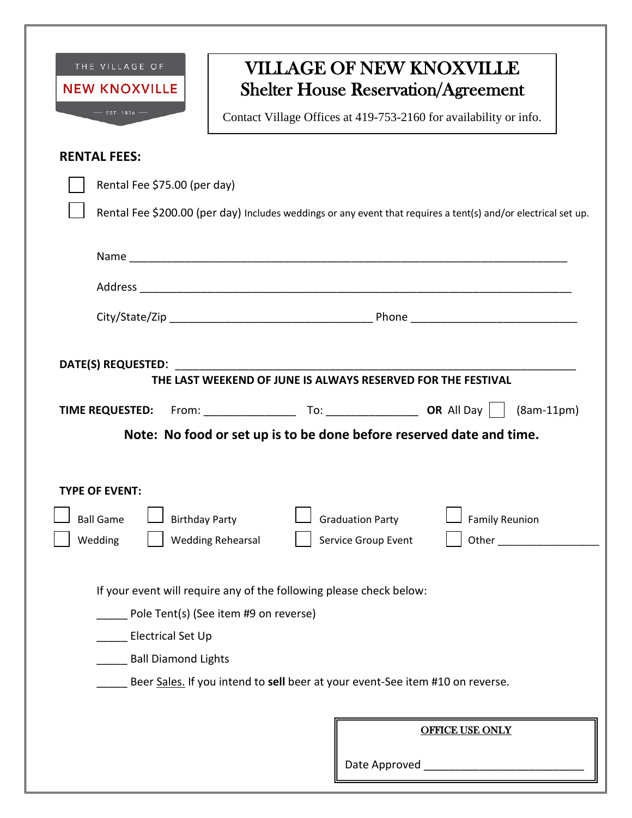| <b>NEW KNOXVILLE</b>                                               | <b>VILLAGE OF NEW KNOXVILLE</b><br><b>Shelter House Reservation/Agreement</b>                                                                                                                 |
|--------------------------------------------------------------------|-----------------------------------------------------------------------------------------------------------------------------------------------------------------------------------------------|
| $-$ EST. 1836 $-$                                                  | Contact Village Offices at 419-753-2160 for availability or info.                                                                                                                             |
| <b>RENTAL FEES:</b>                                                |                                                                                                                                                                                               |
| Rental Fee \$75.00 (per day)                                       |                                                                                                                                                                                               |
|                                                                    | Rental Fee \$200.00 (per day) Includes weddings or any event that requires a tent(s) and/or electrical set up.                                                                                |
|                                                                    |                                                                                                                                                                                               |
|                                                                    |                                                                                                                                                                                               |
|                                                                    |                                                                                                                                                                                               |
|                                                                    |                                                                                                                                                                                               |
|                                                                    |                                                                                                                                                                                               |
|                                                                    | $(8am-11pm)$                                                                                                                                                                                  |
| <b>TYPE OF EVENT:</b><br><b>Ball Game</b><br><b>Birthday Party</b> | Note: No food or set up is to be done before reserved date and time.<br><b>Family Reunion</b><br><b>Graduation Party</b>                                                                      |
| Wedding                                                            | Other<br><b>Wedding Rehearsal</b><br>Service Group Event                                                                                                                                      |
| Electrical Set Up<br><b>Ball Diamond Lights</b>                    | If your event will require any of the following please check below:<br>Pole Tent(s) (See item #9 on reverse)<br>Beer Sales. If you intend to sell beer at your event-See item #10 on reverse. |
|                                                                    |                                                                                                                                                                                               |
|                                                                    | <b>OFFICE USE ONLY</b>                                                                                                                                                                        |